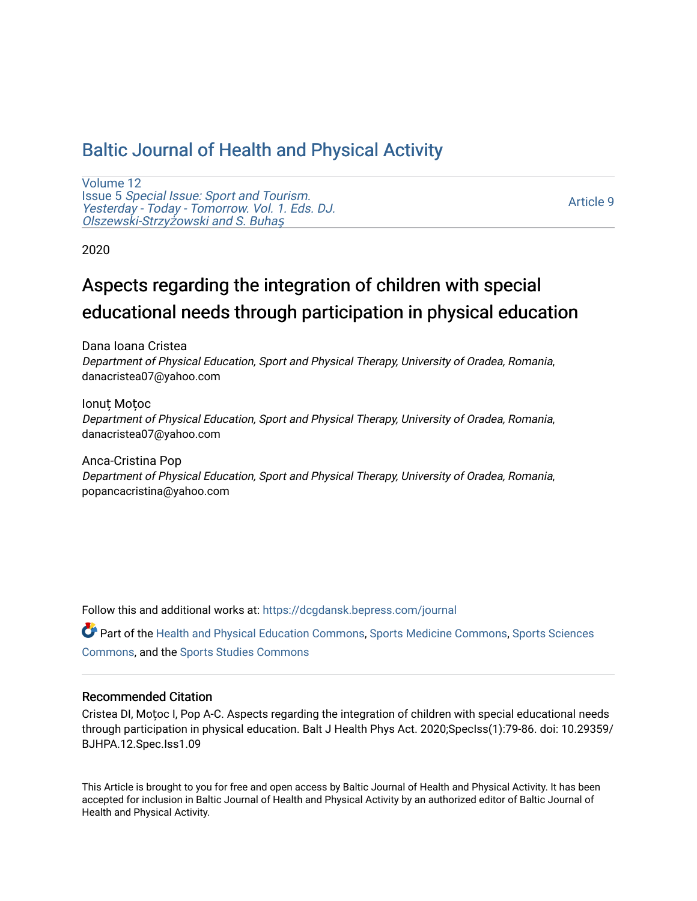## [Baltic Journal of Health and Physical Activity](https://dcgdansk.bepress.com/journal)

[Volume 12](https://dcgdansk.bepress.com/journal/vol12) Issue 5 [Special Issue: Sport and Tourism.](https://dcgdansk.bepress.com/journal/vol12/iss5)  [Yesterday - Today - Tomorrow. Vol. 1. Eds. DJ.](https://dcgdansk.bepress.com/journal/vol12/iss5)  [Olszewski-Strzy](https://dcgdansk.bepress.com/journal/vol12/iss5)żowski and S. Buhaş

[Article 9](https://dcgdansk.bepress.com/journal/vol12/iss5/9) 

2020

# Aspects regarding the integration of children with special educational needs through participation in physical education

Dana Ioana Cristea Department of Physical Education, Sport and Physical Therapy, University of Oradea, Romania, danacristea07@yahoo.com

Ionuț Moțoc Department of Physical Education, Sport and Physical Therapy, University of Oradea, Romania, danacristea07@yahoo.com

Anca-Cristina Pop Department of Physical Education, Sport and Physical Therapy, University of Oradea, Romania, popancacristina@yahoo.com

Follow this and additional works at: [https://dcgdansk.bepress.com/journal](https://dcgdansk.bepress.com/journal?utm_source=dcgdansk.bepress.com%2Fjournal%2Fvol12%2Fiss5%2F9&utm_medium=PDF&utm_campaign=PDFCoverPages)

Part of the [Health and Physical Education Commons](http://network.bepress.com/hgg/discipline/1327?utm_source=dcgdansk.bepress.com%2Fjournal%2Fvol12%2Fiss5%2F9&utm_medium=PDF&utm_campaign=PDFCoverPages), [Sports Medicine Commons,](http://network.bepress.com/hgg/discipline/1331?utm_source=dcgdansk.bepress.com%2Fjournal%2Fvol12%2Fiss5%2F9&utm_medium=PDF&utm_campaign=PDFCoverPages) [Sports Sciences](http://network.bepress.com/hgg/discipline/759?utm_source=dcgdansk.bepress.com%2Fjournal%2Fvol12%2Fiss5%2F9&utm_medium=PDF&utm_campaign=PDFCoverPages) [Commons](http://network.bepress.com/hgg/discipline/759?utm_source=dcgdansk.bepress.com%2Fjournal%2Fvol12%2Fiss5%2F9&utm_medium=PDF&utm_campaign=PDFCoverPages), and the [Sports Studies Commons](http://network.bepress.com/hgg/discipline/1198?utm_source=dcgdansk.bepress.com%2Fjournal%2Fvol12%2Fiss5%2F9&utm_medium=PDF&utm_campaign=PDFCoverPages) 

#### Recommended Citation

Cristea DI, Moțoc I, Pop A-C. Aspects regarding the integration of children with special educational needs through participation in physical education. Balt J Health Phys Act. 2020;SpecIss(1):79-86. doi: 10.29359/ BJHPA.12.Spec.Iss1.09

This Article is brought to you for free and open access by Baltic Journal of Health and Physical Activity. It has been accepted for inclusion in Baltic Journal of Health and Physical Activity by an authorized editor of Baltic Journal of Health and Physical Activity.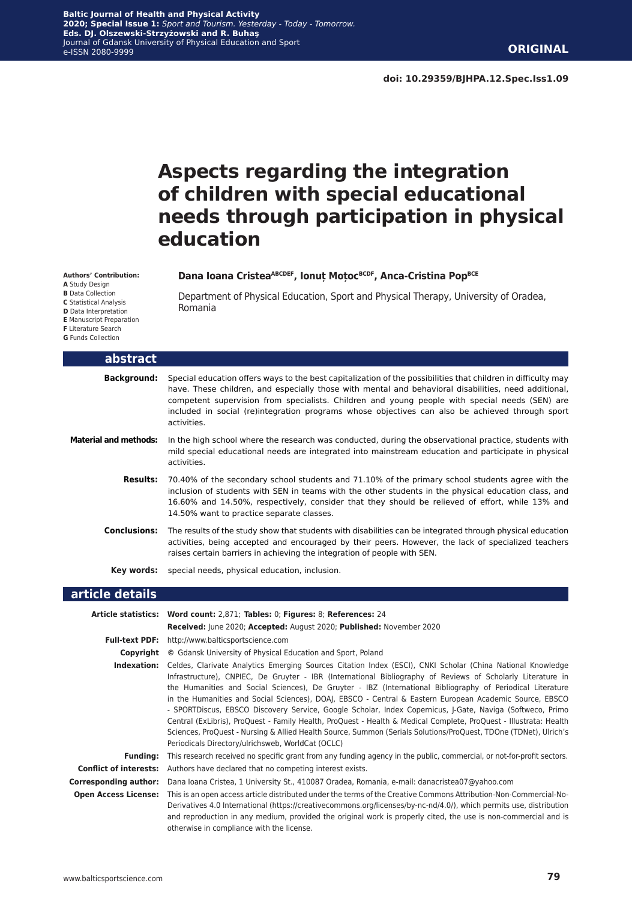**doi: 10.29359/BJHPA.12.Spec.Iss1.09**

## **Aspects regarding the integration of children with special educational needs through participation in physical education**

#### **Dana Ioana CristeaABCDEF, Ionuț MoțocBCDF, Anca-Cristina PopBCE**

Department of Physical Education, Sport and Physical Therapy, University of Oradea, Romania

| abstract                     |                                                                                                                                                                                                                                                                                                                                                                                                                                                              |
|------------------------------|--------------------------------------------------------------------------------------------------------------------------------------------------------------------------------------------------------------------------------------------------------------------------------------------------------------------------------------------------------------------------------------------------------------------------------------------------------------|
|                              | <b>Background:</b> Special education offers ways to the best capitalization of the possibilities that children in difficulty may<br>have. These children, and especially those with mental and behavioral disabilities, need additional,<br>competent supervision from specialists. Children and young people with special needs (SEN) are<br>included in social (re)integration programs whose objectives can also be achieved through sport<br>activities. |
| <b>Material and methods:</b> | In the high school where the research was conducted, during the observational practice, students with<br>mild special educational needs are integrated into mainstream education and participate in physical<br>activities.                                                                                                                                                                                                                                  |
| <b>Results:</b>              | 70.40% of the secondary school students and 71.10% of the primary school students agree with the<br>inclusion of students with SEN in teams with the other students in the physical education class, and<br>16.60% and 14.50%, respectively, consider that they should be relieved of effort, while 13% and<br>14.50% want to practice separate classes.                                                                                                     |
| Conclusions:                 | The results of the study show that students with disabilities can be integrated through physical education<br>activities, being accepted and encouraged by their peers. However, the lack of specialized teachers<br>raises certain barriers in achieving the integration of people with SEN.                                                                                                                                                                |
|                              | <b>Key words:</b> special needs, physical education, inclusion.                                                                                                                                                                                                                                                                                                                                                                                              |
| article detaile              |                                                                                                                                                                                                                                                                                                                                                                                                                                                              |

#### **article details**

**Authors' Contribution: A** Study Design **B** Data Collection **C** Statistical Analysis **D** Data Interpretation **E** Manuscript Preparation **F** Literature Search **G** Funds Collection

L

|                               | Article statistics: Word count: 2,871; Tables: 0; Figures: 8; References: 24                                                                                                                                                                                                                                                                                                                                                                                                                                                                                                                                                                                                                                                                                                                                                                                  |
|-------------------------------|---------------------------------------------------------------------------------------------------------------------------------------------------------------------------------------------------------------------------------------------------------------------------------------------------------------------------------------------------------------------------------------------------------------------------------------------------------------------------------------------------------------------------------------------------------------------------------------------------------------------------------------------------------------------------------------------------------------------------------------------------------------------------------------------------------------------------------------------------------------|
|                               | Received: June 2020; Accepted: August 2020; Published: November 2020                                                                                                                                                                                                                                                                                                                                                                                                                                                                                                                                                                                                                                                                                                                                                                                          |
|                               | <b>Full-text PDF:</b> http://www.balticsportscience.com                                                                                                                                                                                                                                                                                                                                                                                                                                                                                                                                                                                                                                                                                                                                                                                                       |
| Copyright                     | © Gdansk University of Physical Education and Sport, Poland                                                                                                                                                                                                                                                                                                                                                                                                                                                                                                                                                                                                                                                                                                                                                                                                   |
| Indexation:                   | Celdes, Clarivate Analytics Emerging Sources Citation Index (ESCI), CNKI Scholar (China National Knowledge<br>Infrastructure), CNPIEC, De Gruyter - IBR (International Bibliography of Reviews of Scholarly Literature in<br>the Humanities and Social Sciences), De Gruyter - IBZ (International Bibliography of Periodical Literature<br>in the Humanities and Social Sciences), DOAJ, EBSCO - Central & Eastern European Academic Source, EBSCO<br>- SPORTDiscus, EBSCO Discovery Service, Google Scholar, Index Copernicus, J-Gate, Naviga (Softweco, Primo<br>Central (ExLibris), ProQuest - Family Health, ProQuest - Health & Medical Complete, ProQuest - Illustrata: Health<br>Sciences, ProQuest - Nursing & Allied Health Source, Summon (Serials Solutions/ProQuest, TDOne (TDNet), Ulrich's<br>Periodicals Directory/ulrichsweb, WorldCat (OCLC) |
| <b>Funding:</b>               | This research received no specific grant from any funding agency in the public, commercial, or not-for-profit sectors.                                                                                                                                                                                                                                                                                                                                                                                                                                                                                                                                                                                                                                                                                                                                        |
| <b>Conflict of interests:</b> | Authors have declared that no competing interest exists.                                                                                                                                                                                                                                                                                                                                                                                                                                                                                                                                                                                                                                                                                                                                                                                                      |
| <b>Corresponding author:</b>  | Dana Ioana Cristea, 1 University St., 410087 Oradea, Romania, e-mail: danacristea07@yahoo.com                                                                                                                                                                                                                                                                                                                                                                                                                                                                                                                                                                                                                                                                                                                                                                 |
| <b>Open Access License:</b>   | This is an open access article distributed under the terms of the Creative Commons Attribution-Non-Commercial-No-<br>Derivatives 4.0 International (https://creativecommons.org/licenses/by-nc-nd/4.0/), which permits use, distribution<br>and reproduction in any medium, provided the original work is properly cited, the use is non-commercial and is<br>otherwise in compliance with the license.                                                                                                                                                                                                                                                                                                                                                                                                                                                       |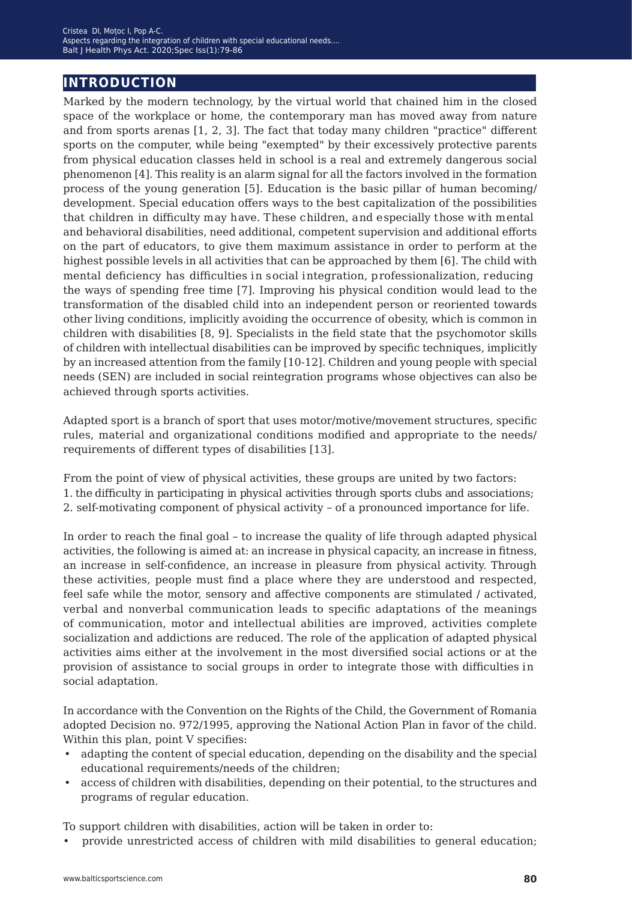## **introduction**

Marked by the modern technology, by the virtual world that chained him in the closed space of the workplace or home, the contemporary man has moved away from nature and from sports arenas [1, 2, 3]. The fact that today many children "practice" different sports on the computer, while being "exempted" by their excessively protective parents from physical education classes held in school is a real and extremely dangerous social phenomenon [4]. This reality is an alarm signal for all the factors involved in the formation process of the young generation [5]. Education is the basic pillar of human becoming/ development. Special education offers ways to the best capitalization of the possibilities that children in difficulty may have. These children, and especially those with mental and behavioral disabilities, need additional, competent supervision and additional efforts on the part of educators, to give them maximum assistance in order to perform at the highest possible levels in all activities that can be approached by them [6]. The child with mental deficiency has difficulties in social integration, professionalization, reducing the ways of spending free time [7]. Improving his physical condition would lead to the transformation of the disabled child into an independent person or reoriented towards other living conditions, implicitly avoiding the occurrence of obesity, which is common in children with disabilities [8, 9]. Specialists in the field state that the psychomotor skills of children with intellectual disabilities can be improved by specific techniques, implicitly by an increased attention from the family [10-12]. Children and young people with special needs (SEN) are included in social reintegration programs whose objectives can also be achieved through sports activities.

Adapted sport is a branch of sport that uses motor/motive/movement structures, specific rules, material and organizational conditions modified and appropriate to the needs/ requirements of different types of disabilities [13].

From the point of view of physical activities, these groups are united by two factors: 1. the difficulty in participating in physical activities through sports clubs and associations; 2. self-motivating component of physical activity *−* of a pronounced importance for life.

In order to reach the final goal – to increase the quality of life through adapted physical activities, the following is aimed at: an increase in physical capacity, an increase in fitness, an increase in self-confidence, an increase in pleasure from physical activity. Through these activities, people must find a place where they are understood and respected, feel safe while the motor, sensory and affective components are stimulated / activated, verbal and nonverbal communication leads to specific adaptations of the meanings of communication, motor and intellectual abilities are improved, activities complete socialization and addictions are reduced. The role of the application of adapted physical activities aims either at the involvement in the most diversified social actions or at the provision of assistance to social groups in order to integrate those with difficulties in social adaptation.

In accordance with the Convention on the Rights of the Child, the Government of Romania adopted Decision no. 972/1995, approving the National Action Plan in favor of the child. Within this plan, point V specifies:

- adapting the content of special education, depending on the disability and the special educational requirements/needs of the children;
- access of children with disabilities, depending on their potential, to the structures and programs of regular education.

To support children with disabilities, action will be taken in order to:

• provide unrestricted access of children with mild disabilities to general education;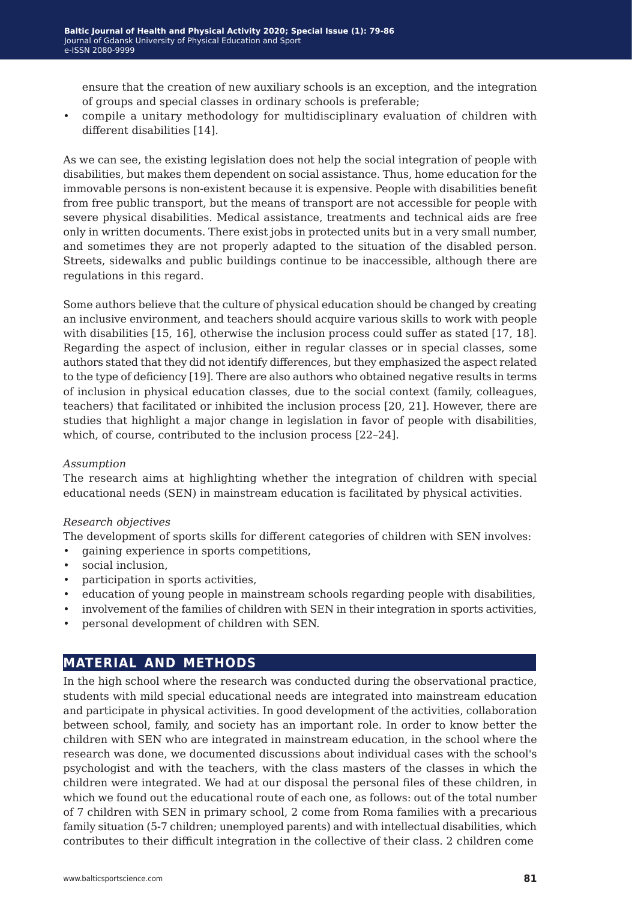ensure that the creation of new auxiliary schools is an exception, and the integration of groups and special classes in ordinary schools is preferable;

• compile a unitary methodology for multidisciplinary evaluation of children with different disabilities [14].

As we can see, the existing legislation does not help the social integration of people with disabilities, but makes them dependent on social assistance. Thus, home education for the immovable persons is non-existent because it is expensive. People with disabilities benefit from free public transport, but the means of transport are not accessible for people with severe physical disabilities. Medical assistance, treatments and technical aids are free only in written documents. There exist jobs in protected units but in a very small number, and sometimes they are not properly adapted to the situation of the disabled person. Streets, sidewalks and public buildings continue to be inaccessible, although there are regulations in this regard.

Some authors believe that the culture of physical education should be changed by creating an inclusive environment, and teachers should acquire various skills to work with people with disabilities [15, 16], otherwise the inclusion process could suffer as stated [17, 18]. Regarding the aspect of inclusion, either in regular classes or in special classes, some authors stated that they did not identify differences, but they emphasized the aspect related to the type of deficiency [19]. There are also authors who obtained negative results in terms of inclusion in physical education classes, due to the social context (family, colleagues, teachers) that facilitated or inhibited the inclusion process [20, 21]. However, there are studies that highlight a major change in legislation in favor of people with disabilities, which, of course, contributed to the inclusion process [22–24].

#### *Assumption*

The research aims at highlighting whether the integration of children with special educational needs (SEN) in mainstream education is facilitated by physical activities.

#### *Research objectives*

The development of sports skills for different categories of children with SEN involves:

- gaining experience in sports competitions,
- social inclusion,
- participation in sports activities,
- education of young people in mainstream schools regarding people with disabilities,
- involvement of the families of children with SEN in their integration in sports activities,
- personal development of children with SEN.

### **material and methods**

In the high school where the research was conducted during the observational practice, students with mild special educational needs are integrated into mainstream education and participate in physical activities. In good development of the activities, collaboration between school, family, and society has an important role. In order to know better the children with SEN who are integrated in mainstream education, in the school where the research was done, we documented discussions about individual cases with the school's psychologist and with the teachers, with the class masters of the classes in which the children were integrated. We had at our disposal the personal files of these children, in which we found out the educational route of each one, as follows: out of the total number of 7 children with SEN in primary school, 2 come from Roma families with a precarious family situation (5-7 children; unemployed parents) and with intellectual disabilities, which contributes to their difficult integration in the collective of their class. 2 children come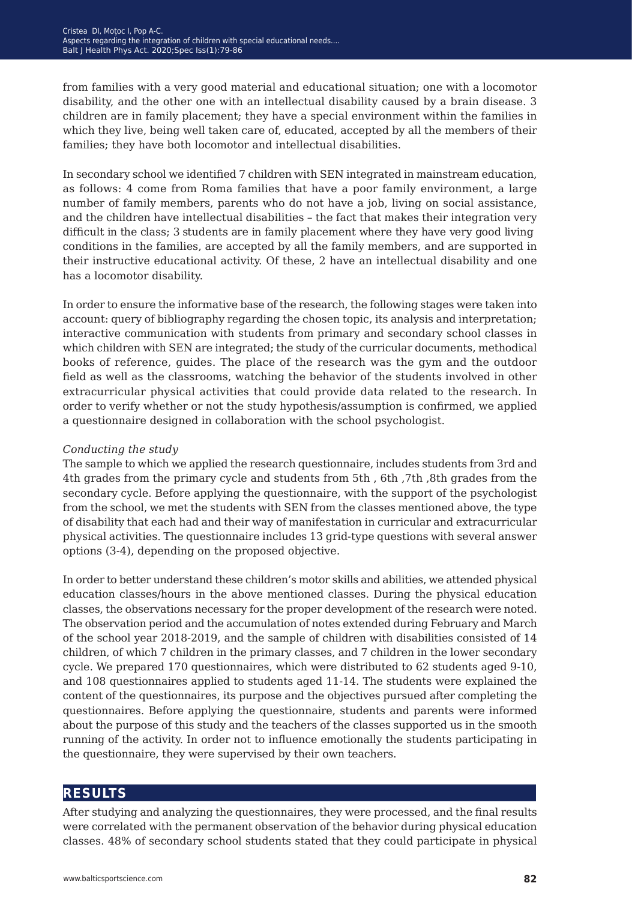from families with a very good material and educational situation; one with a locomotor disability, and the other one with an intellectual disability caused by a brain disease. 3 children are in family placement; they have a special environment within the families in which they live, being well taken care of, educated, accepted by all the members of their families; they have both locomotor and intellectual disabilities.

In secondary school we identified 7 children with SEN integrated in mainstream education, as follows: 4 come from Roma families that have a poor family environment, a large number of family members, parents who do not have a job, living on social assistance, and the children have intellectual disabilities – the fact that makes their integration very difficult in the class; 3 students are in family placement where they have very good living conditions in the families, are accepted by all the family members, and are supported in their instructive educational activity. Of these, 2 have an intellectual disability and one has a locomotor disability.

In order to ensure the informative base of the research, the following stages were taken into account: query of bibliography regarding the chosen topic, its analysis and interpretation; interactive communication with students from primary and secondary school classes in which children with SEN are integrated; the study of the curricular documents, methodical books of reference, guides. The place of the research was the gym and the outdoor field as well as the classrooms, watching the behavior of the students involved in other extracurricular physical activities that could provide data related to the research. In order to verify whether or not the study hypothesis/assumption is confirmed, we applied a questionnaire designed in collaboration with the school psychologist.

#### *Conducting the study*

The sample to which we applied the research questionnaire, includes students from 3rd and 4th grades from the primary cycle and students from 5th , 6th ,7th ,8th grades from the secondary cycle. Before applying the questionnaire, with the support of the psychologist from the school, we met the students with SEN from the classes mentioned above, the type of disability that each had and their way of manifestation in curricular and extracurricular physical activities. The questionnaire includes 13 grid-type questions with several answer options (3-4), depending on the proposed objective.

In order to better understand these children's motor skills and abilities, we attended physical education classes/hours in the above mentioned classes. During the physical education classes, the observations necessary for the proper development of the research were noted. The observation period and the accumulation of notes extended during February and March of the school year 2018-2019, and the sample of children with disabilities consisted of 14 children, of which 7 children in the primary classes, and 7 children in the lower secondary cycle. We prepared 170 questionnaires, which were distributed to 62 students aged 9-10, and 108 questionnaires applied to students aged 11-14. The students were explained the content of the questionnaires, its purpose and the objectives pursued after completing the questionnaires. Before applying the questionnaire, students and parents were informed about the purpose of this study and the teachers of the classes supported us in the smooth running of the activity. In order not to influence emotionally the students participating in the questionnaire, they were supervised by their own teachers.

### **results**

After studying and analyzing the questionnaires, they were processed, and the final results were correlated with the permanent observation of the behavior during physical education classes. 48% of secondary school students stated that they could participate in physical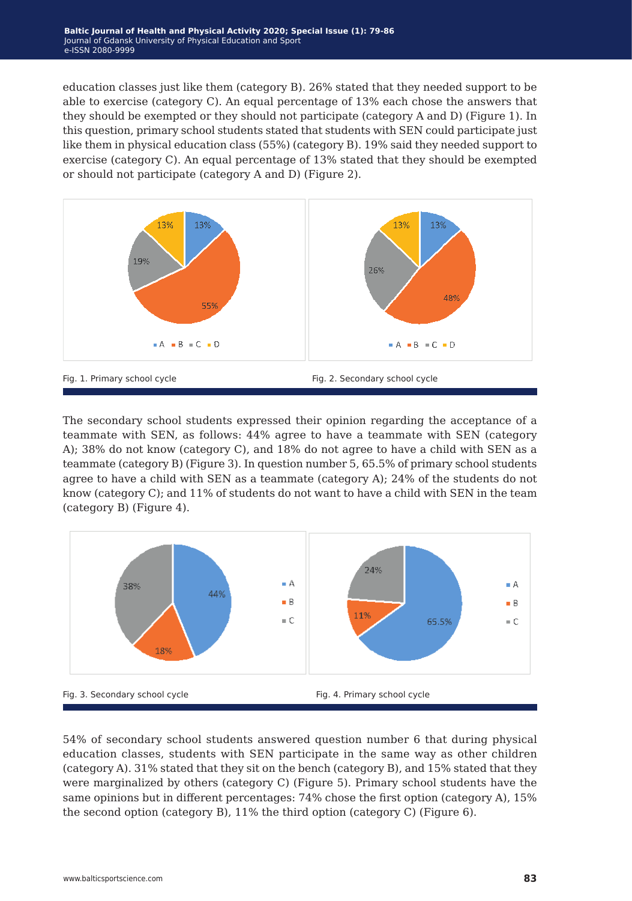education classes just like them (category B). 26% stated that they needed support to be able to exercise (category C). An equal percentage of 13% each chose the answers that they should be exempted or they should not participate (category A and D) (Figure 1). In this question, primary school students stated that students with SEN could participate just like them in physical education class (55%) (category B). 19% said they needed support to exercise (category C). An equal percentage of 13% stated that they should be exempted or should not participate (category A and D) (Figure 2).



The secondary school students expressed their opinion regarding the acceptance of a teammate with SEN, as follows: 44% agree to have a teammate with SEN (category A); 38% do not know (category C), and 18% do not agree to have a child with SEN as a teammate (category B) (Figure 3). In question number 5, 65.5% of primary school students agree to have a child with SEN as a teammate (category A); 24% of the students do not know (category C); and 11% of students do not want to have a child with SEN in the team (category B) (Figure 4).



54% of secondary school students answered question number 6 that during physical education classes, students with SEN participate in the same way as other children (category A). 31% stated that they sit on the bench (category B), and 15% stated that they were marginalized by others (category C) (Figure 5). Primary school students have the same opinions but in different percentages: 74% chose the first option (category A), 15% the second option (category B), 11% the third option (category C) (Figure 6).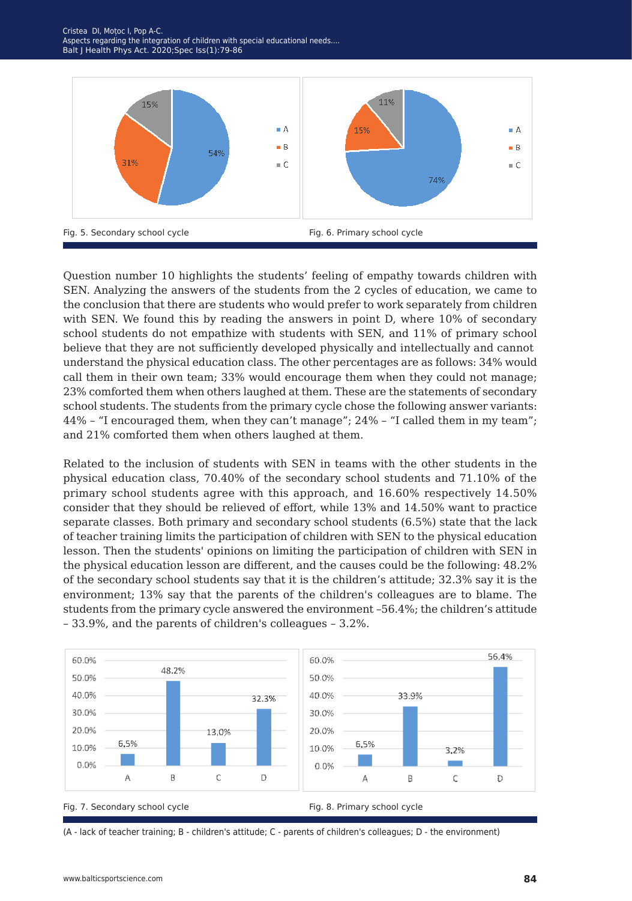

Question number 10 highlights the students' feeling of empathy towards children with SEN. Analyzing the answers of the students from the 2 cycles of education, we came to the conclusion that there are students who would prefer to work separately from children with SEN. We found this by reading the answers in point D, where 10% of secondary school students do not empathize with students with SEN, and 11% of primary school believe that they are not sufficiently developed physically and intellectually and cannot understand the physical education class. The other percentages are as follows: 34% would call them in their own team; 33% would encourage them when they could not manage; 23% comforted them when others laughed at them. These are the statements of secondary school students. The students from the primary cycle chose the following answer variants: 44% – "I encouraged them, when they can't manage"; 24% – "I called them in my team"; and 21% comforted them when others laughed at them.

Related to the inclusion of students with SEN in teams with the other students in the physical education class, 70.40% of the secondary school students and 71.10% of the primary school students agree with this approach, and 16.60% respectively 14.50% consider that they should be relieved of effort, while 13% and 14.50% want to practice separate classes. Both primary and secondary school students (6.5%) state that the lack of teacher training limits the participation of children with SEN to the physical education lesson. Then the students' opinions on limiting the participation of children with SEN in the physical education lesson are different, and the causes could be the following: 48.2% of the secondary school students say that it is the children's attitude; 32.3% say it is the environment; 13% say that the parents of the children's colleagues are to blame. The students from the primary cycle answered the environment –56.4%; the children's attitude – 33.9%, and the parents of children's colleagues – 3.2%.



(A - lack of teacher training; B - children's attitude; C - parents of children's colleagues; D - the environment)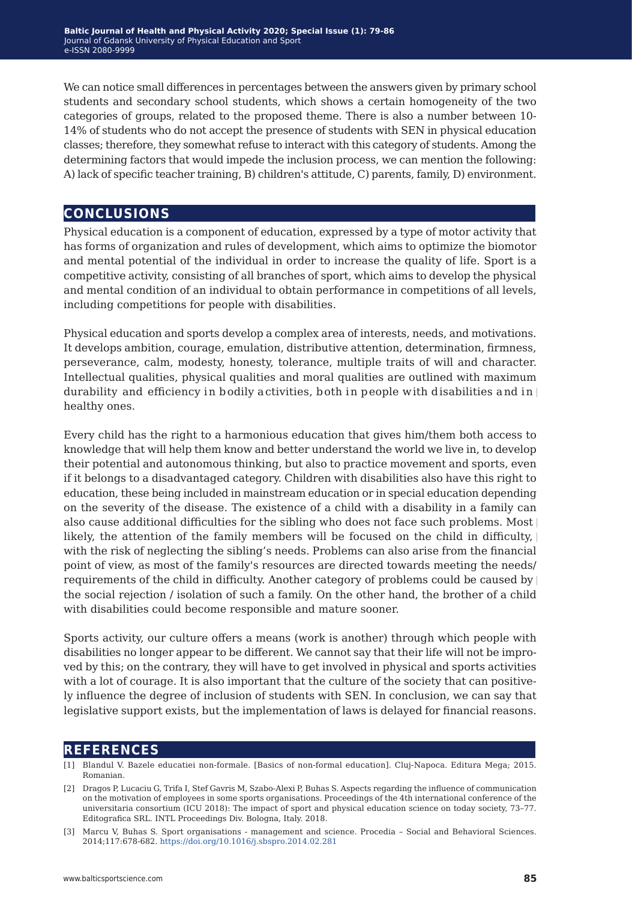We can notice small differences in percentages between the answers given by primary school students and secondary school students, which shows a certain homogeneity of the two categories of groups, related to the proposed theme. There is also a number between 10- 14% of students who do not accept the presence of students with SEN in physical education classes; therefore, they somewhat refuse to interact with this category of students. Among the determining factors that would impede the inclusion process, we can mention the following: A) lack of specific teacher training, B) children's attitude, C) parents, family, D) environment.

## **conclusions**

Physical education is a component of education, expressed by a type of motor activity that has forms of organization and rules of development, which aims to optimize the biomotor and mental potential of the individual in order to increase the quality of life. Sport is a competitive activity, consisting of all branches of sport, which aims to develop the physical and mental condition of an individual to obtain performance in competitions of all levels, including competitions for people with disabilities.

Physical education and sports develop a complex area of interests, needs, and motivations. It develops ambition, courage, emulation, distributive attention, determination, firmness, perseverance, calm, modesty, honesty, tolerance, multiple traits of will and character. Intellectual qualities, physical qualities and moral qualities are outlined with maximum durability and efficiency in bodily activities, both in people with disabilities and in healthy ones.

Every child has the right to a harmonious education that gives him/them both access to knowledge that will help them know and better understand the world we live in, to develop their potential and autonomous thinking, but also to practice movement and sports, even if it belongs to a disadvantaged category. Children with disabilities also have this right to education, these being included in mainstream education or in special education depending on the severity of the disease. The existence of a child with a disability in a family can also cause additional difficulties for the sibling who does not face such problems. Most likely, the attention of the family members will be focused on the child in difficulty, with the risk of neglecting the sibling's needs. Problems can also arise from the financial point of view, as most of the family's resources are directed towards meeting the needs/ requirements of the child in difficulty. Another category of problems could be caused by the social rejection / isolation of such a family. On the other hand, the brother of a child with disabilities could become responsible and mature sooner.

Sports activity, our culture offers a means (work is another) through which people with disabilities no longer appear to be different. We cannot say that their life will not be improved by this; on the contrary, they will have to get involved in physical and sports activities with a lot of courage. It is also important that the culture of the society that can positively influence the degree of inclusion of students with SEN. In conclusion, we can say that legislative support exists, but the implementation of laws is delayed for financial reasons.

### **references**

[1] Blandul V. Bazele educatiei non-formale. [Basics of non-formal education]. Cluj-Napoca. Editura Mega; 2015. Romanian.

<sup>[2]</sup> Dragos P, Lucaciu G, Trifa I, Stef Gavris M, Szabo-Alexi P, Buhas S. Aspects regarding the influence of communication on the motivation of employees in some sports organisations. Proceedings of the 4th international conference of the universitaria consortium (ICU 2018): The impact of sport and physical education science on today society, 73–77. Editografica SRL. INTL Proceedings Div. Bologna, Italy. 2018.

<sup>[3]</sup>Marcu V, Buhas S. Sport organisations - management and science. Procedia – Social and Behavioral Sciences. 2014;117:678-682. <https://doi.org/10.1016/j.sbspro.2014.02.281>